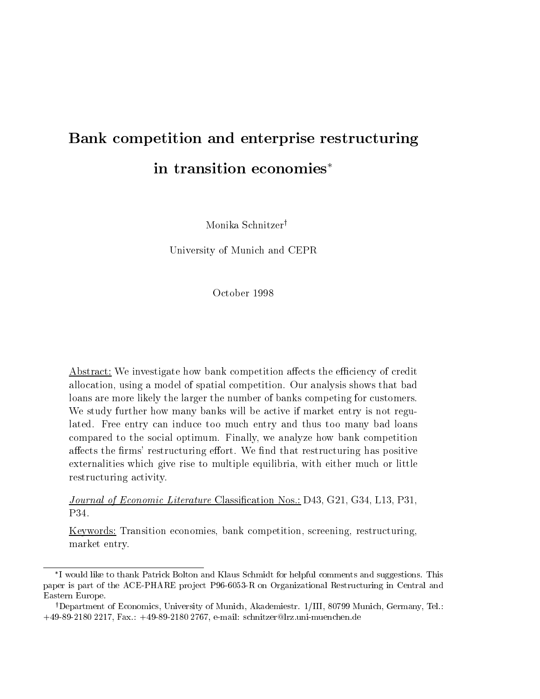# Bank competition and enterprise restructuring in transition economies

Monika Schnitzer<sup>†</sup>

University of Munich and CEPR

October 1998

Abstract: We investigate how bank competition affects the efficiency of credit allocation, using a model of spatial competition. Our analysis shows that bad loans are more likely the larger the number of banks competing for customers We study further how many banks will be active if market entry is not regu lated. Free entry can induce too much entry and thus too many bad loans compared to the social optimum. Finally, we analyze how bank competition affects the firms' restructuring effort. We find that restructuring has positive externalities which give rise to multiple equilibria, with either much or little restructuring activity 

Journal of Economic Literature Classication Nos D
 G- G
 L- P-  $P34$ 

<u>Keywords:</u> Transition economies, bank competition, screening, restructuring, market entry 

I would like to thank Patrick Bolton and Klaus Schmidt for helpful comments and suggestions- This paper is part of the ACE-PHARE project P96-6053-R on Organizational Restructuring in Central and Eastern Europe-

 $\alpha$  department of Economics, University of Munich, Akademiestr. 1/111, 80799 Munich, Germany, Tel.  $\alpha$   Fax-   

 email schnitzerlrz-unimuenchen-de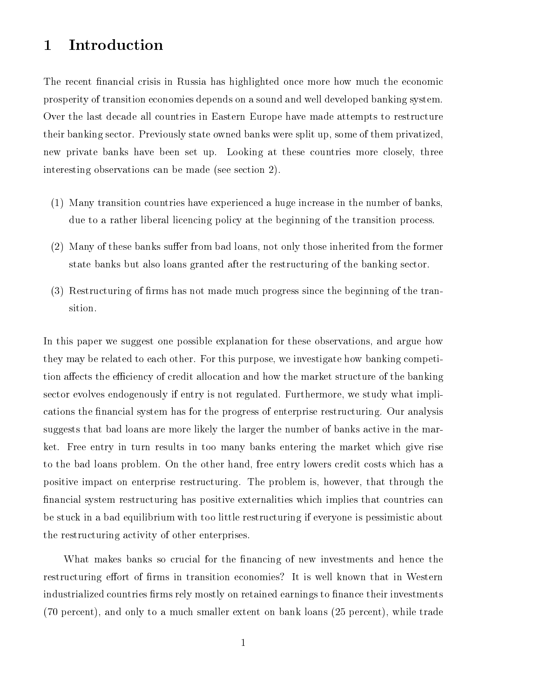#### $\mathbf{1}$ Introduction

The recent financial crisis in Russia has highlighted once more how much the economic prosperity of transition economies depends on a sound and well developed banking system Over the last decade all countries in Eastern Europe have made attempts to restructure their banking sector. Previously state owned banks were split up, some of them privatized, new private banks have been set up. Looking at these countries more closely, three interesting observations can be made (see section 2).

- , a many transition countries have experienced a huge increase in the number of banks in the number of banks o due to a rather liberal licencing policy at the beginning of the transition process
- $(2)$  Many of these banks suffer from bad loans, not only those inherited from the former state banks but also loans granted after the restructuring of the banking sector
- $(3)$  Restructuring of firms has not made much progress since the beginning of the transition

In this paper we suggest one possible explanation for these observations and argue how they may be related to each other. For this purpose, we investigate how banking competition affects the efficiency of credit allocation and how the market structure of the banking sector evolves endogenously if entry is not regulated. Furthermore, we study what implications the financial system has for the progress of enterprise restructuring. Our analysis suggests that bad loans are more likely the larger the number of banks active in the mar ket. Free entry in turn results in too many banks entering the market which give rise to the bad loans problem. On the other hand, free entry lowers credit costs which has a positive impact on enterprise restructuring. The problem is, however, that through the nancial system restructuring has positive externalities which implies that countries can be stuck in a bad equilibrium with too little restructuring if everyone is pessimistic about the restructuring activity of other enterprises 

What makes banks so crucial for the financing of new investments and hence the restructuring effort of firms in transition economies? It is well known that in Western industrialized countries firms rely mostly on retained earnings to finance their investments  $(70$  percent), and only to a much smaller extent on bank loans  $(25$  percent), while trade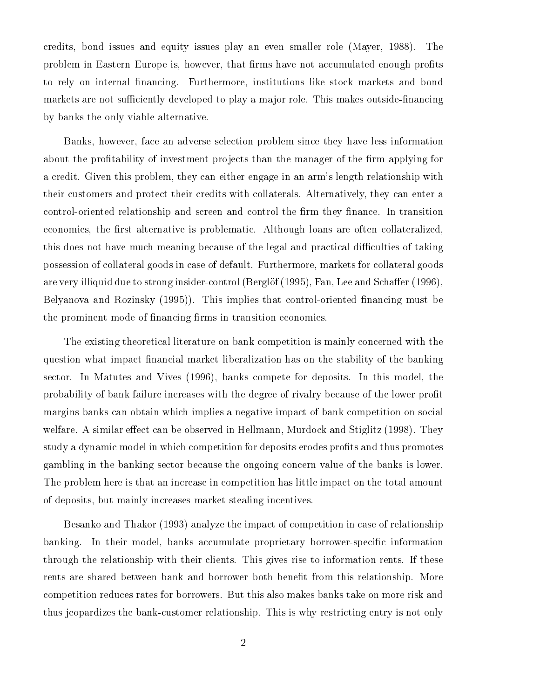recording bond issues and the play and play and the smaller role Mayer (in the first  $\mathcal{C}$  and  $\mathcal{C}$ problem in Eastern Europe is, however, that firms have not accumulated enough profits to rely on internal financing. Furthermore, institutions like stock markets and bond markets are not such a matter of the vertices  $p$  , and the play a matter outside the matter outside the  $\pi$ by banks the only viable alternative 

Banks, however, face an adverse selection problem since they have less information about the profitability of investment projects than the manager of the firm applying for a credit. Given this problem, they can either engage in an arm's length relationship with their customers and protect their credits with collaterals. Alternatively, they can enter a control to the relationship and screen and control the relationship and control the relationship and control t economies, the first alternative is problematic. Although loans are often collateralized, this does not have much meaning because of the legal and practical difficulties of taking possession of collateral goods in case of default Furthermore markets for collateral goods are very insidered to strong insiders and strong insider  $\alpha$  . The strong inside  $\alpha$  and  $\alpha$  and  $\alpha$ oriented and Rosinsky - Interligity - Andreal must be and the control must be an approach of the control of th the prominent mode of financing firms in transition economies.

The existing theoretical literature on bank competition is mainly concerned with the question what impact financial market liberalization has on the stability of the banking section and diameters and Vires (activity competent theory and vires and the deposits of the competency of the probability of bank failure increases with the degree of rivalry because of the lower prot margins banks can obtain which implies a negative impact of bank competition on social welfare a similar electron observed in Hellmann Murdock and Stiglitz - Stiglitz - Stiglitz - Stiglitz - Stiglitz - Stiglitz - Stiglitz - Stiglitz - Stiglitz - Stiglitz - Stiglitz - Stiglitz - Stiglitz - Stiglitz - Stiglitz study a dynamic model in which competition for deposits erodes profits and thus promotes gambling in the banking sector because the ongoing concern value of the banks is lower The problem here is that an increase in competition has little impact on the total amount of deposits, but mainly increases market stealing incentives.

 $\blacksquare$  and  $\blacksquare$  . The impact of  $\blacksquare$  and in case of  $\blacksquare$  . The impact of  $\blacksquare$  . The impact of  $\blacksquare$ banking. In the their model banks accumulate proprietary borrowers and the complete model information of the c through the relationship with their clients. This gives rise to information rents. If these rents are shared between bank and borrower both benefit from this relationship. More competition reduces rates for borrowers. But this also makes banks take on more risk and thus jeopardizes the bank customer relationship This is why restricting entry is not only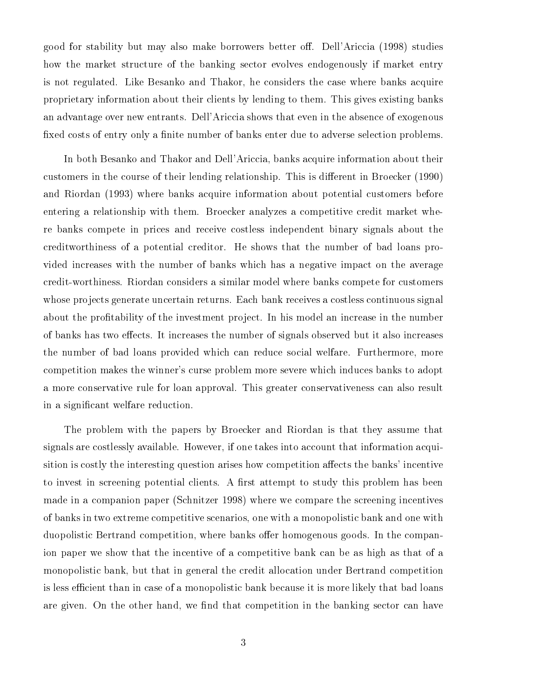$\alpha$  stabilities between the matrix matrix between the stabilities of  $\alpha$  . The studies of  $\alpha$ how the market structure of the banking sector evolves endogenously if market entry is not regulated. Like Besanko and Thakor, he considers the case where banks acquire proprietary information about their clients by lending to them This gives existing banks an advantage over new entrants. Dell'Ariccia shows that even in the absence of exogenous fixed costs of entry only a finite number of banks enter due to adverse selection problems.

In both Besanko and Thakor and Dell'Ariccia, banks acquire information about their customers in the course of their lending relationship to the course in Broecker - This is different in  $\mathcal{S}$ and restriction (distribution about accuration about potential customers before about potential contracts about entering a relationship with them. Broecker analyzes a competitive credit market where banks compete in prices and receive costless independent binary signals about the creditworthiness of a potential creditor. He shows that the number of bad loans provided increases with the number of banks which has a negative impact on the average credit word considers a great consideration of considers and considers where compete for competent  $\sim$ whose projects generate uncertain returns. Each bank receives a costless continuous signal about the profitability of the investment project. In his model an increase in the number of banks has two effects. It increases the number of signals observed but it also increases the number of bad loans provided which can reduce social welfare. Furthermore, more competition makes the winner's curse problem more severe which induces banks to adopt a more conservative rule for loan approval. This greater conservativeness can also result in a significant welfare reduction.

The problem with the papers by Broecker and Riordan is that they assume that signals are costlessly available. However, if one takes into account that information acquisition is costly the interesting question arises how competition affects the banks' incentive to invest in screening potential clients. A first attempt to study this problem has been made in a compared paper (we compare the school incentives incentives incentives) incompare the screening incentives of banks in two extreme competitive scenarios one with a monopolistic bank and one with duopolistic Bertrand competition, where banks offer homogenous goods. In the companion paper we show that the incentive of a competitive bank can be as high as that of a monopolistic bank but that in general the credit allocation under Bertrand competition is less efficient than in case of a monopolistic bank because it is more likely that bad loans are given. On the other hand, we find that competition in the banking sector can have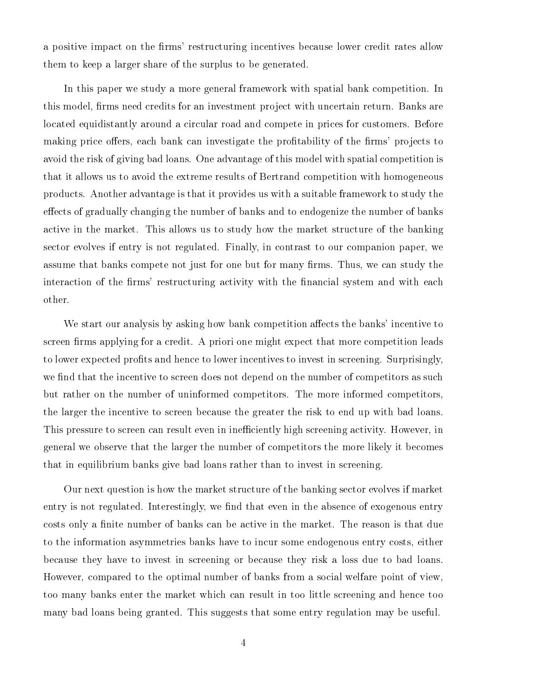a positive impact on the firms' restructuring incentives because lower credit rates allow them to keep a larger share of the surplus to be generated 

In this paper we study a more general framework with spatial bank competition. In this model, firms need credits for an investment project with uncertain return. Banks are located equidistantly around a circular road and compete in prices for customers. Before making price offers, each bank can investigate the profitability of the firms' projects to avoid the risk of giving bad loans. One advantage of this model with spatial competition is that it allows us to avoid the extreme results of Bertrand competition with homogeneous products Another advantage is that it provides us with a suitable framework to study the effects of gradually changing the number of banks and to endogenize the number of banks active in the market. This allows us to study how the market structure of the banking sector evolves if entry is not regulated. Finally, in contrast to our companion paper, we assume that banks compete not just for one but for many firms. Thus, we can study the interaction of the firms' restructuring activity with the financial system and with each other 

We start our analysis by asking how bank competition affects the banks' incentive to screen firms applying for a credit. A priori one might expect that more competition leads to lower expected profits and hence to lower incentives to invest in screening. Surprisingly, we find that the incentive to screen does not depend on the number of competitors as such but rather on the number of uninformed competitors. The more informed competitors. the larger the incentive to screen because the greater the risk to end up with bad loans This pressure to screen can result even in inefficiently high screening activity. However, in general we observe that the larger the number of competitors the more likely it becomes that in equilibrium banks give bad loans rather than to invest in screening 

Our next question is how the market structure of the banking sector evolves if market entry is not regulated. Interestingly, we find that even in the absence of exogenous entry costs only a finite number of banks can be active in the market. The reason is that due to the information asymmetries banks have to incur some endogenous entry costs either because they have to invest in screening or because they risk a loss due to bad loans However, compared to the optimal number of banks from a social welfare point of view, too many banks enter the market which can result in too little screening and hence too many bad loans being granted. This suggests that some entry regulation may be useful.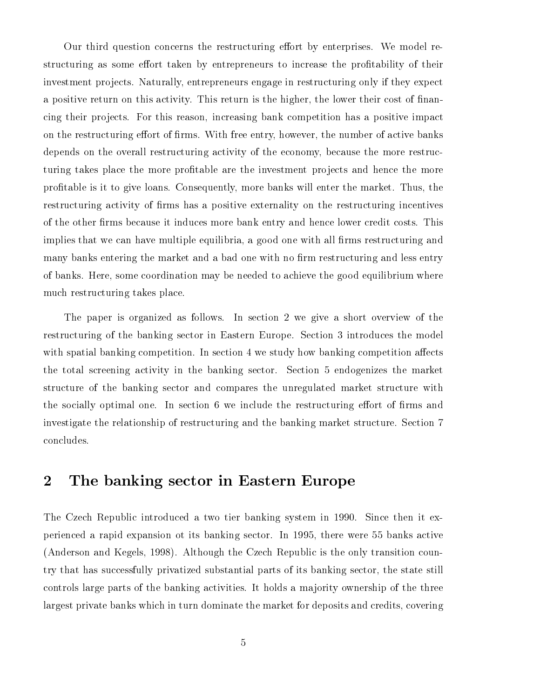Our third question concerns the restructuring effort by enterprises. We model restructuring as some effort taken by entrepreneurs to increase the profitability of their investment projects. Naturally, entrepreneurs engage in restructuring only if they expect a positive return on this activity. This return is the higher, the lower their cost of financing their projects. For this reason, increasing bank competition has a positive impact on the restructuring effort of firms. With free entry, however, the number of active banks depends on the overall restructuring activity of the economy, because the more restructuring takes place the more profitable are the investment projects and hence the more profitable is it to give loans. Consequently, more banks will enter the market. Thus, the restructuring activity of firms has a positive externality on the restructuring incentives of the other firms because it induces more bank entry and hence lower credit costs. This implies that we can have multiple equilibria, a good one with all firms restructuring and many banks entering the market and a bad one with no firm restructuring and less entry of banks. Here, some coordination may be needed to achieve the good equilibrium where much restructuring takes place 

The paper is organized as follows. In section  $2 \le$  ye give a short overview of the restructuring of the banking sector in Eastern Europe. Section 3 introduces the model with spatial banking competition. In section 4 we study how banking competition affects the total screening activity in the banking sector. Section 5 endogenizes the market structure of the banking sector and compares the unregulated market structure with the socially optimal one. In section 6 we include the restructuring effort of firms and investigate the relationship of restructuring and the banking market structure. Section 7 concludes 

#### $\overline{2}$ The banking sector in Eastern Europe

The Czech Republic introduced a two tier banking system in - Since then it ex perienced a rapid expansion ot its banking sector In - there were banks active Anderson and Kegels - Although the Czech Republic is the only transition coun try that has successfully privatized substantial parts of its banking sector the state still controls large parts of the banking activities. It holds a majority ownership of the three largest private banks which in turn dominate the market for deposits and credits covering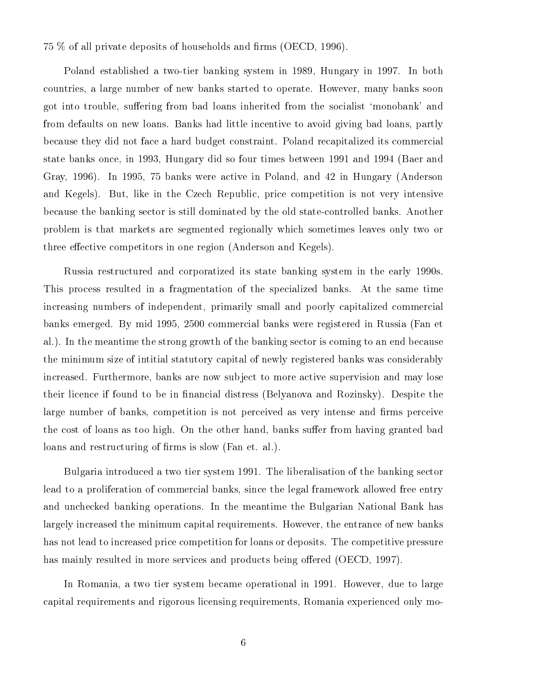of all private deposits of households and rms OECD - 

 $P$  two tier banking system in  $P$  two tier banking system in  $P$  two tier banking system in  $P$ countries, a large number of new banks started to operate. However, many banks soon got into trouble, suffering from bad loans inherited from the socialist 'monobank' and from defaults on new loans. Banks had little incentive to avoid giving bad loans, partly because they did not face a hard budget constraint. Poland recapitalized its commercial state banks once in - Hungary did so four times between -- and - Baer and Gray - In - banks were active in Poland and in Hungary Anderson and Kegels). But, like in the Czech Republic, price competition is not very intensive because the banking sector is still dominated by the old state  $\mathcal{N}$ problem is that markets are segmented regionally which sometimes leaves only two or three effective competitors in one region (Anderson and Kegels).

Russia restructured and corporatized its state banking system in the early -s This process resulted in a fragmentation of the specialized banks. At the same time increasing numbers of independent, primarily small and poorly capitalized commercial  $\mathcal{L}$  . In a group  $\mathcal{L}$  , we refer the registered in Russia Fan et al. (2000)  $\mathcal{L}$  and  $\mathcal{L}$ al.). In the meantime the strong growth of the banking sector is coming to an end because the minimum size of intitial statutory capital of newly registered banks was considerably increased. Furthermore, banks are now subject to more active supervision and may lose their licence if found to be in financial distress (Belyanova and Rozinsky). Despite the large number of banks, competition is not perceived as very intense and firms perceive the cost of loans as too high. On the other hand, banks suffer from having granted bad loans and restructuring of firms is slow  $(Fan et. al.).$ 

 $B_{\rm 1D}$  introduced a two times system -  $B_{\rm 1D}$ lead to a proliferation of commercial banks, since the legal framework allowed free entry and unchecked banking operations. In the meantime the Bulgarian National Bank has largely increased the minimum capital requirements. However, the entrance of new banks has not lead to increased price competition for loans or deposits. The competitive pressure has mainly resulted in more services and products being one of  $\alpha = \alpha = 1$  . In the  $\alpha$ 

In Romania a two tier system became operational in -- However due to large capital requirements and rigorous licensing requirements, Romania experienced only mo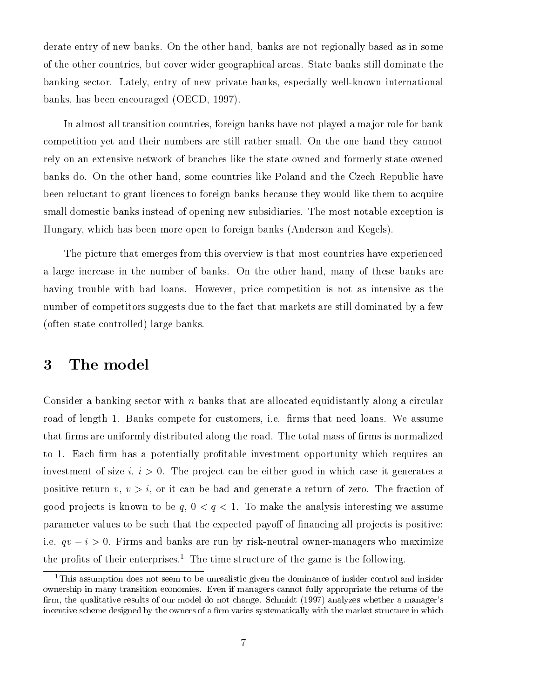derate entry of new banks. On the other hand, banks are not regionally based as in some of the other countries, but cover wider geographical areas. State banks still dominate the banking sector Lately entry of new private banks especially well known international  $\mathbf{b}$  and the couraged of  $\mathbf{b}$  -  $\mathbf{c}$  -  $\mathbf{c}$  -  $\mathbf{c}$  -  $\mathbf{c}$  -  $\mathbf{c}$  -  $\mathbf{c}$  -  $\mathbf{c}$  -  $\mathbf{c}$  -  $\mathbf{c}$  -  $\mathbf{c}$  -  $\mathbf{c}$  -  $\mathbf{c}$  -  $\mathbf{c}$  -  $\mathbf{c}$  -  $\mathbf{c}$  -  $\mathbf{c}$  -  $\mathbf{$ 

In almost all transition countries foreign banks have not played a major role for bank competition yet and their numbers are still rather small On the one hand they cannot rely on an extensive network of branches like the state owned and formerly state owened banks do. On the other hand, some countries like Poland and the Czech Republic have been reluctant to grant licences to foreign banks because they would like them to acquire small domestic banks instead of opening new subsidiaries. The most notable exception is Hungary, which has been more open to foreign banks (Anderson and Kegels).

The picture that emerges from this overview is that most countries have experienced a large increase in the number of banks. On the other hand, many of these banks are having trouble with bad loans. However, price competition is not as intensive as the number of competitors suggests due to the fact that markets are still dominated by a few  $\sim$  control states banks banks and  $\sim$  controlled large banks banks are controlled by  $\sim$ 

#### 3 The model

Consider a banking sector with  $n$  banks that are allocated equidistantly along a circular  $\mathbf{M}$  and  $\mathbf{M}$ that firms are uniformly distributed along the road. The total mass of firms is normalized to - Each rm has <sup>a</sup> potentially protable investment opportunity which requires an investment of size is in the project case in  $\mathbf{M}$  . The project case is generates as  $\mathbf{M}$  , which case it generates as  $\mathbf{M}$  , which case it generates as  $\mathbf{M}$  , which case it generates as  $\mathbf{M}$  , which c positive return variety and the fraction of the fraction of the fraction of the fraction of  $\sim$  $\alpha$  , is proportionally to be quality we assume the analysis interesting we assume  $\alpha$ parameter values to be such that the expected payoff of financing all projects is positive; neutral over the managers of the community of the contraction of the managers who matematically contract the contract of the contract of the contract of the contract of the contract of the contract of the contract of the c the profits of their enterprises.<sup>1</sup> The time structure of the game is the following.

<sup>&</sup>lt;sup>1</sup>This assumption does not seem to be unrealistic given the dominance of insider control and insider ownership in many transition economies- Even if managers cannot fully appropriate the returns of the rm the qualitative results of our model do not change- Schmidt analyzes whether a managers incentive scheme designed by the owners of a firm varies systematically with the market structure in which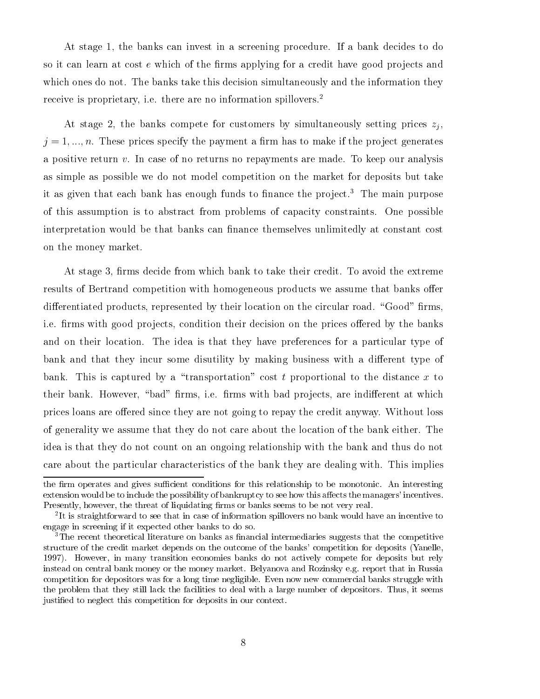the banks in a state of the banks can invest in a banks of the screening procedure in a bank decides to do do so it can learn at cost  $e$  which of the firms applying for a credit have good projects and which ones do not. The banks take this decision simultaneously and the information they receive is proprietary, i.e. there are no information spillovers.<sup>2</sup>

At stage 2, the banks compete for customers by simultaneously setting prices  $z_i$ ,  $j$  -  $\pm$ ,  $m_{ij}$  ,  $\pm$  most prices specify the payment a mini-mas to make if the project generates a positive return  $v$ . In case of no returns no repayments are made. To keep our analysis as simple as possible we do not model competition on the market for deposits but take it as given that each bank has enough funds to finance the project.<sup>3</sup> The main purpose of this assumption is to abstract from problems of capacity constraints. One possible interpretation would be that banks can finance themselves unlimitedly at constant cost on the money market 

At stage 3, firms decide from which bank to take their credit. To avoid the extreme results of Bertrand competition with homogeneous products we assume that banks offer differentiated products, represented by their location on the circular road. "Good" firms, i.e. firms with good projects, condition their decision on the prices offered by the banks and on their location. The idea is that they have preferences for a particular type of bank and that they incur some disutility by making business with a different type of bank. This is captured by a "transportation" cost t proportional to the distance x to their bank. However, "bad" firms, i.e. firms with bad projects, are indifferent at which prices loans are offered since they are not going to repay the credit anyway. Without loss of generality we assume that they do not care about the location of the bank either. The idea is that they do not count on an ongoing relationship with the bank and thus do not care about the particular characteristics of the bank they are dealing with. This implies

the rm operates and gives sucient conditions for this relationship to be monotonic- An interesting extension would be to include the possibility of bankruptcy to see how this affects the managers' incentives. Presently, however, the threat of liquidating firms or banks seems to be not very real.

<sup>-</sup> It is straightforward to see that in case of information spillovers no bank would have an incentive to engage in screening if it expected other banks to do so-

 $3$ The recent theoretical literature on banks as financial intermediaries suggests that the competitive structure of the credit market depends on the outcome of the banks' competition for deposits (Yanelle, - However in many transition economies banks do not actively compete for deposits but rely instead on central bank money or the money market- Belyanova and Rozinsky e-g- report that in Russia competition for a long time the struggle-commercial bangs structure with a longitudinal banks struggle with the the problem that they still lack the facilities to deal with a large number of depositors- where it seems to justified to neglect this competition for deposits in our context.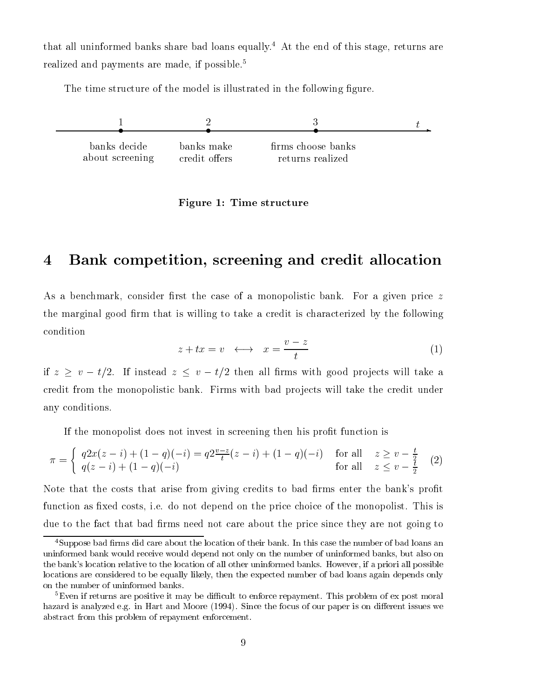that all uninformed banks share bad loans equally.<sup>4</sup> At the end of this stage, returns are realized and payments are made, if possible.<sup>5</sup>

The time structure of the model is illustrated in the following figure.



Figure - Time structure

## 4 Bank competition, screening and credit allocation

As a benchmark, consider first the case of a monopolistic bank. For a given price  $z$ the marginal good firm that is willing to take a credit is characterized by the following condition

$$
z + tx = v \quad \longleftrightarrow \quad x = \frac{v - z}{t} \tag{1}
$$

if it is a second  $\alpha$  in the all resolutions with good product with  $\alpha$ credit from the monopolistic bank Firms with bad projects will take the credit under any conditions 

If the monopolist does not invest in screening then his profit function is

$$
\pi = \begin{cases} q2x(z-i) + (1-q)(-i) = q2\frac{v-z}{t}(z-i) + (1-q)(-i) & \text{for all } z \ge v - \frac{t}{2} \\ q(z-i) + (1-q)(-i) & \text{for all } z \le v - \frac{t}{2} \end{cases}
$$
 (2)

Note that the costs that arise from giving credits to bad firms enter the bank's profit function as fixed costs, i.e. do not depend on the price choice of the monopolist. This is due to the fact that bad firms need not care about the price since they are not going to

Suppose bad rms did care about the location of their bank- In this case the number of bad loans an uninformed bank would receive would depend not only on the number of uninformed banks, but also on the banks of the location relative to the location of all other uninformed banks- the location possible possible to locations are considered to be equally likely, then the expected number of bad loans again depends only on the number of uninformed banks.

<sup>-</sup>Even if returns are positive it may be difficult to emorce repayment. This problem of ex post moral  $\sim$ hazard is analyzed e-manalyzed e-manalyzed e-manalyzed e-manalyzed e-manalyzed e-manalyzed e-manalyzed e-manalyzed abstract from this problem of repayment enforcement.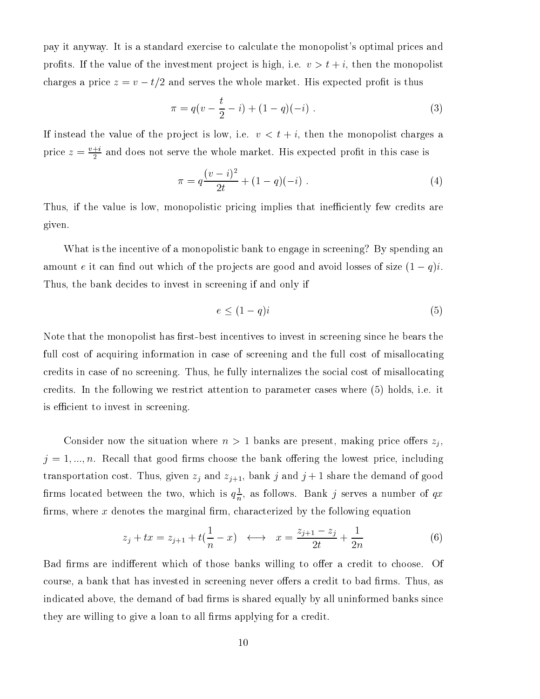pay it anyway. It is a standard exercise to calculate the monopolist's optimal prices and profits. If the value of the investment project is highly fiel  $\sigma \times \nu + \sigma$  , when the monopolist charges a price is a view the whole market whole market charges the protocol protection and the serves of the

$$
\pi = q(v - \frac{t}{2} - i) + (1 - q)(-i) \tag{3}
$$

If instead the value of the project is low, i.e.  $v < t + i$ , then the monopolist charges a price  $z = \frac{z_1}{2}$  and does not serve the whole market. His expected pront in this case is

$$
\pi = q \frac{(v-i)^2}{2t} + (1-q)(-i) \tag{4}
$$

Thus, if the value is low, monopolistic pricing implies that inefficiently few credits are given 

What is the incentive of a monopolistic bank to engage in screening? By spending an and out to a complete and out which or the projects are good and avoid avoid losses of size  $\mathcal{S} = \{ \mathcal{S} \}$ Thus, the bank decides to invest in screening if and only if

$$
e \le (1 - q)i \tag{5}
$$

Note that the monopolist has rst best incentives to invest in screening since he bears the full cost of acquiring information in case of screening and the full cost of misallocating credits in case of no screening. Thus, he fully internalizes the social cost of misallocating credits. In the following we restrict attention to parameter cases where  $(5)$  holds, i.e. it is efficient to invest in screening.

Consider now the situation where <sup>n</sup> - - banks are present making price oers zj  $j$  -  $\pm$ ,  $m$ ,  $m$  . The bank of the choose the bank of choing the lowest price, including transportation cost Thus given zj and zj bank <sup>j</sup> and <sup>j</sup> - share the demand of good firms located between the two, which is  $q_{\overline{n}}$ , as follows. Bank j serves a number of  $qx$ firms, where x denotes the marginal firm, characterized by the following equation

$$
z_j + tx = z_{j+1} + t(\frac{1}{n} - x) \quad \longleftrightarrow \quad x = \frac{z_{j+1} - z_j}{2t} + \frac{1}{2n} \tag{6}
$$

Bad firms are indifferent which of those banks willing to offer a credit to choose. Of course, a bank that has invested in screening never offers a credit to bad firms. Thus, as indicated above, the demand of bad firms is shared equally by all uninformed banks since they are willing to give a loan to all firms applying for a credit.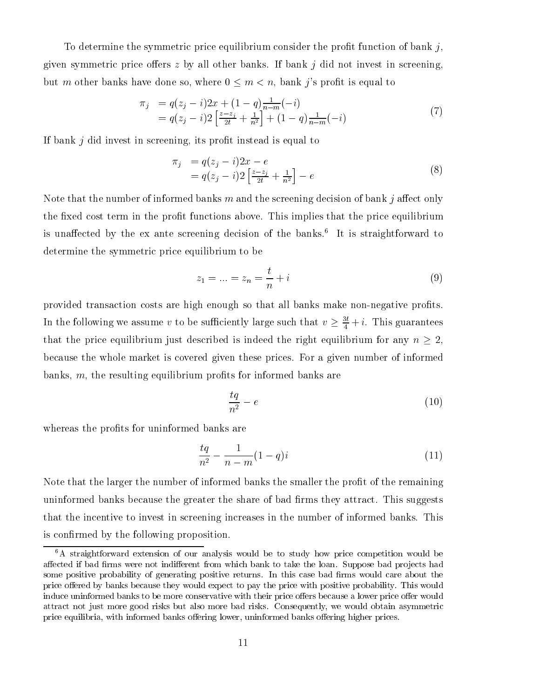To determine the symmetric price equilibrium consider the profit function of bank  $j$ , given symmetric price offers z by all other banks. If bank j did not invest in screening, but m other banks have done so, where  $0 \leq m < n$ , bank j's profit is equal to

$$
\pi_j = q(z_j - i)2x + (1 - q) \frac{1}{n - m}(-i)
$$
  
=  $q(z_j - i)2 \left[ \frac{z - z_j}{2t} + \frac{1}{n^2} \right] + (1 - q) \frac{1}{n - m}(-i)$  (7)

If bank  $j$  did invest in screening, its profit instead is equal to

$$
\pi_j = q(z_j - i)2x - e \n= q(z_j - i)2\left[\frac{z - z_j}{2t} + \frac{1}{n^2}\right] - e
$$
\n(8)

Note that the number of informed banks m and the screening decision of bank j affect only the fixed cost term in the profit functions above. This implies that the price equilibrium is unaffected by the ex-ante-screening decision of the banks. The is straightforward to determine the symmetric price equilibrium to be

$$
z_1 = \dots = z_n = \frac{t}{n} + i \tag{9}
$$

provided transaction costs are high enough so that all banks make non negative prots In the following we assume v to be sumclently large such that  $v \geq \frac{1}{4} + i$ . This guarantees that the price equilibrium just described is indeed the right equilibrium for any  $n \geq 2$ , because the whole market is covered given these prices. For a given number of informed banks,  $m$ , the resulting equilibrium profits for informed banks are

$$
\frac{tq}{n^2} - e \tag{10}
$$

whereas the profits for uninformed banks are

$$
\frac{tq}{n^2} - \frac{1}{n-m}(1-q)i\tag{11}
$$

Note that the larger the number of informed banks the smaller the profit of the remaining uninformed banks because the greater the share of bad firms they attract. This suggests that the incentive to invest in screening increases in the number of informed banks. This is confirmed by the following proposition.

<sup>&</sup>lt;sup>6</sup>A straightforward extension of our analysis would be to study how price competition would be aected in bad indiere different from which are the location bank to the location bank to which bad pro jects had pro some positive probability of generating positive returns- and this case about the such this case case would price oered by banks because they would expect to pay the price with positive probability- This would induce uninformed banks to be more conservative with their price offers because a lower price offer would attract not just more good risks-but also more bad risks-but also more bad risks-but also more bad risks-but a price equilibria, with informed banks offering lower, uninformed banks offering higher prices.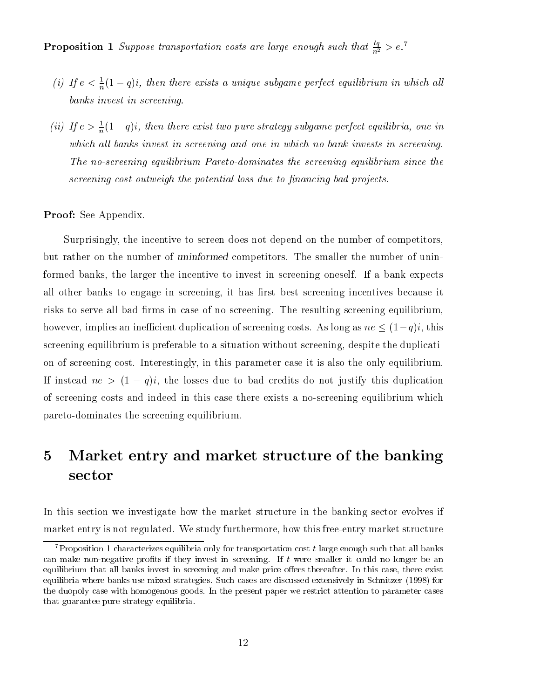**Proposition 1** Suppose transportation costs are large enough such that  $\frac{1}{n^2} > e$ .

- (i) If  $e < \frac{1}{n}(1-q)i$ , then there exists a unique swogame perfect equilibrium in which all banks invest in screening-
- (ii) If  $e > \frac{1}{n}(1-q)i$ , then there exist two pure strategy subgame perfect equilibria, one in which all banks invest in screening and one in which no bank invests in screening. The noscreening equilibrium Paretodominates the screening equilibrium since the screening cost outweigh the potential loss due to nancing bad projects-

## Provide See Appendix See Appendix See Appendix See Appendix See Appendix See Appendix See Appendix See Appendix

Surprisingly, the incentive to screen does not depend on the number of competitors. but rather on the number of uninformed competitors. The smaller the number of uninformed banks, the larger the incentive to invest in screening oneself. If a bank expects all other banks to engage in screening, it has first best screening incentives because it risks to serve all bad firms in case of no screening. The resulting screening equilibrium, however in this implication of supplication of supplication of screening costs as a long as  $\alpha$  is  $\alpha$  -  $\alpha$  as  $\alpha$ screening equilibrium is preferable to a situation without screening despite the duplicati on of screening cost. Interestingly, in this parameter case it is also the only equilibrium. if instead in a straight of the losses due to a credit the losses due to a losses duplication of the losses of of screening costs and indeed in this case there exists a non-zero exists a normalization which which which which which which which which which which which which which which which which which which which which which which pareto dominates the screening equilibrium 

## $\overline{5}$  Market entry and market structure of the banking sector

In this section we investigate how the market structure in the banking sector evolves if market entry is not regulated We study furthermore how this free entry market structure

 $\cdot$ r roposition 1 characterizes equilibria only for transportation cost  $\iota$  large enough such that all banks can make nonnegative prots in screening-they in screening-they in screening-they in screening-they in the analysis equilibrium that all banks invest in screening and make price oers thereafter- In this case there exist equilibria where banks use mixed strategies-discussed extensively in Schnitzer are discussed extensively in Schnitzer and the schnitzer of the schnitzer are discussed extensively in Schnitzer and the schnitzer are discusse the duopoly case with homogenous goods- In the present paper we restrict attention to parameter cases that guarantee pure strategy equilibria-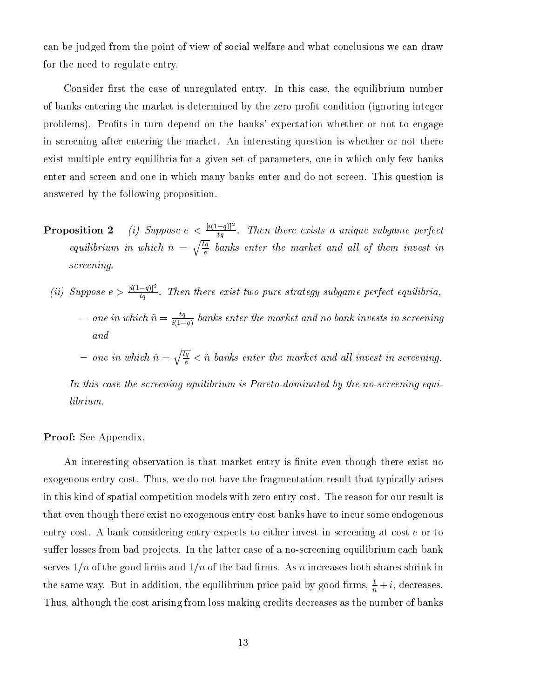can be judged from the point of view of social welfare and what conclusions we can draw for the need to regulate entry 

Consider first the case of unregulated entry. In this case, the equilibrium number of banks entering the market is determined by the zero profit condition (ignoring integer problems). Profits in turn depend on the banks' expectation whether or not to engage in screening after entering the market. An interesting question is whether or not there exist multiple entry equilibria for a given set of parameters, one in which only few banks enter and screen and one in which many banks enter and do not screen. This question is answered by the following proposition 

- Proposition 2 2 (i) Suppose  $e < \frac{v(1-q)}{q}$ . Th  $tq$  -  $\cdots$  and  $\cdots$  is a unique subgame perfect  $\cdots$ equilibrium in which  $\hat{n} = \sqrt{\frac{tq}{e}}$  banks enter the market and all of them invest in screening.
	- (*ii*) Suppose  $e > \frac{|i(1-q)|}{\sigma}$ . The  $tq$  - Then there exist two pure strategy subgame perfect  $\frac{1}{2}$  and  $\frac{1}{2}$ 
		- $-$  one in which  $n = \frac{1}{i(1-q)}$  banks enter the market and no bank invests in screening and
		- one in which  $\hat{n} = \sqrt{\frac{tq}{e}} < \tilde{n}$  banks enter the market and all invest in screening.

In this case the screening equilibrium is Fareto-dominated by the no-screening equilibrium.

## $\blacksquare$   $\blacksquare$   $\blacksquare$   $\blacksquare$   $\blacksquare$   $\blacksquare$   $\blacksquare$   $\blacksquare$   $\blacksquare$   $\blacksquare$   $\blacksquare$   $\blacksquare$   $\blacksquare$   $\blacksquare$   $\blacksquare$   $\blacksquare$   $\blacksquare$   $\blacksquare$   $\blacksquare$   $\blacksquare$   $\blacksquare$   $\blacksquare$   $\blacksquare$   $\blacksquare$   $\blacksquare$   $\blacksquare$   $\blacksquare$   $\blacksquare$   $\blacksquare$   $\blacksquare$   $\blacksquare$   $\blacks$

An interesting observation is that market entry is finite even though there exist no exogenous entry cost. Thus, we do not have the fragmentation result that typically arises in this kind of spatial competition models with zero entry cost. The reason for our result is that even though there exist no exogenous entry cost banks have to incur some endogenous entry cost. A bank considering entry expects to either invest in screening at cost  $e$  or to suer losses from bad pro jects In the latter case of a no screening equilibrium each bank serves -n of the good rms and -n of the bad rms As <sup>n</sup> increases both shares shrink in the same way. But in addition, the equilibrium price paid by good firms,  $\frac{t}{n} + i$ , decreases. Thus, although the cost arising from loss making credits decreases as the number of banks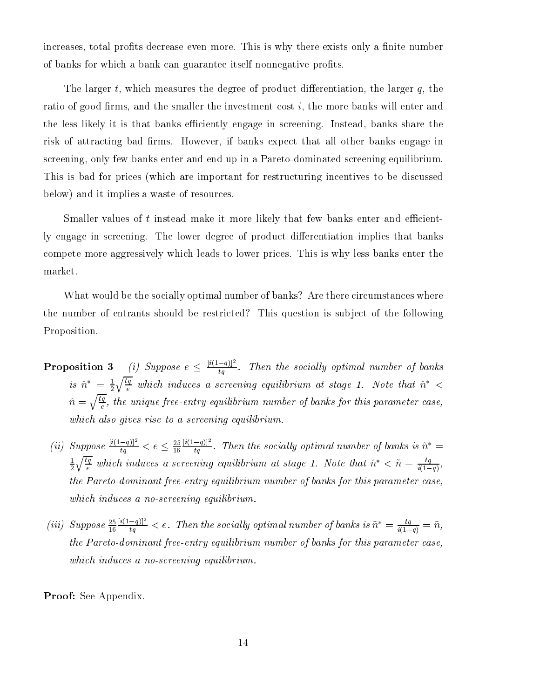increases, total profits decrease even more. This is why there exists only a finite number of banks for which a bank can guarantee itself nonnegative profits.

The larger t, which measures the degree of product differentiation, the larger  $q$ , the ratio of good firms, and the smaller the investment cost  $i$ , the more banks will enter and the less likely it is that banks efficiently engage in screening. Instead, banks share the risk of attracting bad firms. However, if banks expect that all other banks engage in screening only few banks enter and end up in a Pareto dominated screening equilibrium This is bad for prices (which are important for restructuring incentives to be discussed below) and it implies a waste of resources.

Smaller values of  $t$  instead make it more likely that few banks enter and efficiently engage in screening. The lower degree of product differentiation implies that banks compete more aggressively which leads to lower prices. This is why less banks enter the market 

What would be the socially optimal number of banks? Are there circumstances where the number of entrants should be restricted? This question is subject of the following Proposition 

- **Proposition 3** (i) Suppose  $e \leq \frac{|\mathcal{U}(-q)|}{\sqrt{q}}$ . Th  $t_q$  - Then the socially optimal number of banks is  $n = \frac{1}{2} \sqrt{\frac{1}{e}}$  which  $\sqrt{\frac{tq}{e}}$  which induces a screening equilibrium at stage 1. Note that  $\hat{n}^*$  <  $\hat{n} = \sqrt{\frac{tq}{e}}$ , the unique free-entry equilibrium number of banks for this parameter case, which also gives rise to a screening equipment control
- (ii) Suppose  $\frac{[i(1-q)]^2}{ta} < e \leq \frac{25}{16} \frac{[i(1-q)]^2}{ta}$ . T  $\sim$   $\sim$  $|i(1-q)|^2$   $|\mathcal{F}_1|$  $\frac{1}{tq}$ . Then the socially optimal number of banks is  $n =$ . . . .  $\sqrt{\frac{tq}{e}}$  which induces a screening equilibrium at stage 1. Note that  $\hat{n}^* < \tilde{n} = \frac{tq}{i(1-q)}$ , the Pareto-dominant free-entry equilibrium number of banks for this parameter case. which is a normal contract in the secretary equipment is contracted to the contract of the contracted to the c
- $iiiii$  Suppose  $\frac{1}{10}$   $\frac{u(1-q_1)}{tq} < e$ . Then the socially optimal number of banks is  $\tilde{n}^* = \frac{tq}{i(1-q)} = \tilde{n}$ , the Pareto-dominant free-entry equilibrium number of banks for this parameter case, which is a normal contract in the secretary equipment is contracted to the contract of the contracted to the c

Provide See Appendix See Appendix See Appendix See Appendix See Appendix See Appendix See Appendix See Appendix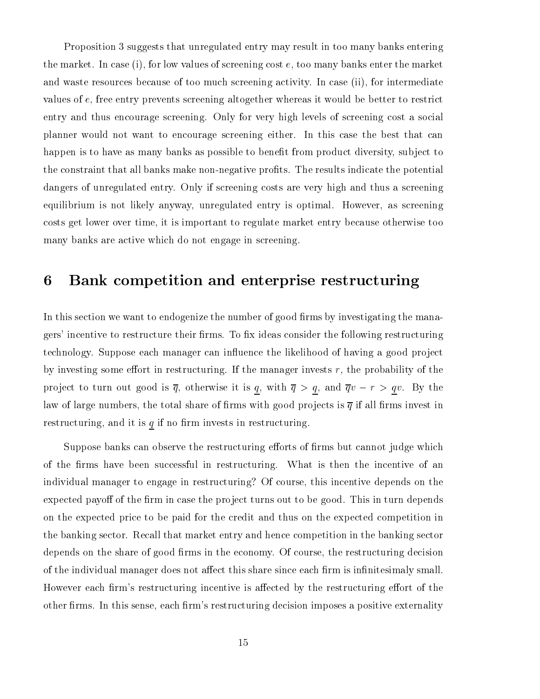Proposition 3 suggests that unregulated entry may result in too many banks entering the market. In case  $(i)$ , for low values of screening cost  $e$ , too many banks enter the market and waste resources because of too much screening activity. In case (ii), for intermediate values of e, free entry prevents screening altogether whereas it would be better to restrict entry and thus encourage screening. Only for very high levels of screening cost a social planner would not want to encourage screening either. In this case the best that can happen is to have as many banks as possible to benefit from product diversity, subject to the constraint that all banks make non negative prots The results indicate the potential dangers of unregulated entry. Only if screening costs are very high and thus a screening equilibrium is not likely anyway, unregulated entry is optimal. However, as screening costs get lower over time, it is important to regulate market entry because otherwise too many banks are active which do not engage in screening 

#### Bank competition and enterprise restructuring 6

In this section we want to endogenize the number of good firms by investigating the managers' incentive to restructure their firms. To fix ideas consider the following restructuring technology. Suppose each manager can influence the likelihood of having a good project by investing some effort in restructuring. If the manager invests r, the probability of the product to turn out grow in quantum and at in quantum quantum quantum quantum quantum quantum and the contract law of large numbers, the total share of firms with good projects is  $\bar{q}$  if all firms invest in restructuring, and it is  $q$  if no firm invests in restructuring.

Suppose banks can observe the restructuring efforts of firms but cannot judge which of the firms have been successful in restructuring. What is then the incentive of an individual manager to engage in restructuring? Of course, this incentive depends on the expected payoff of the firm in case the project turns out to be good. This in turn depends on the expected price to be paid for the credit and thus on the expected competition in the banking sector. Recall that market entry and hence competition in the banking sector depends on the share of good firms in the economy. Of course, the restructuring decision of the individual manager does not affect this share since each firm is infinitesimaly small. However each firm's restructuring incentive is affected by the restructuring effort of the other firms. In this sense, each firm's restructuring decision imposes a positive externality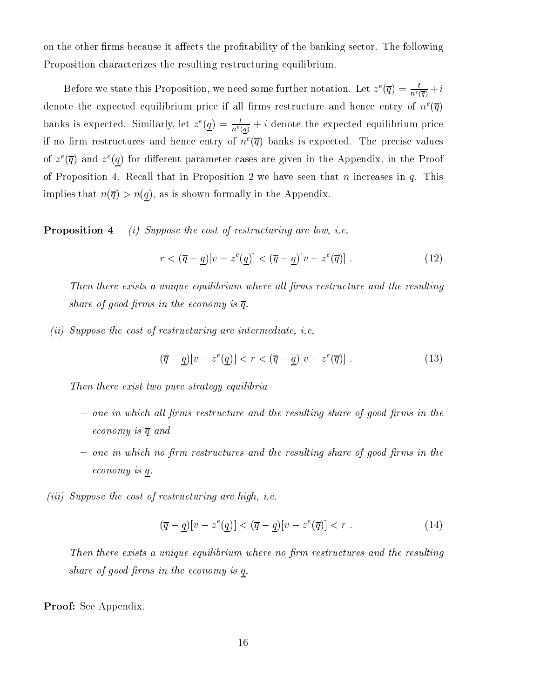on the other firms because it affects the profitability of the banking sector. The following Proposition characterizes the resulting restructuring equilibrium 

Before we state this P roposition, we need some further notation. Let  $z^{\mathsf{c}}(q) = \frac{1}{n^e(\overline{q})} + i$ denote the expected equilibrium price if all firms restructure and hence entry of  $n^e(\overline{q})$ banks is expected. Similarly, let  $z^{\text{v}}(\underline{q}) = \frac{1}{n^e(q)} + i$  denote the expected equilibrium price if no firm restructures and hence entry of  $n^e(\overline{q})$  banks is expected. The precise values of  $z^{\scriptscriptstyle +}(q)$  and  $z^{\scriptscriptstyle +}(q)$  for different parameter cases are given in the Appendix, in the Proof of Proposition 4. Recall that in Proposition 2 we have seen that n increases in  $q$ . This implies that nq - nq as is shown formally in the Appendix 

Propositione- in suppose the cost of restructuring are lower that the

$$
r < (\overline{q} - \underline{q})[v - z^e(\underline{q})] < (\overline{q} - \underline{q})[v - z^e(\overline{q})] \tag{12}
$$

 $\,$ Then there exists a unique equilibrium where all firms restructure and the resulting  $\,$ share of good first in the economy is q-

ii Suppose the cost of restructuring are intermediate i-e-

$$
(\overline{q} - \underline{q})[v - z^e(\underline{q})] < r < (\overline{q} - \underline{q})[v - z^e(\overline{q})] \tag{13}
$$

Then there exist two pure strategy equilibria

- $\sim$  0 rds and which also functions resultationally and the resulting share of good function and  $\sim$ economy is <sup>q</sup> and
- one in which no rm restructures and the resulting share of good rms in the economy is <sup>q</sup>-
- iii suppose the cost of restructuring are integral in the

$$
(\overline{q} - \underline{q})[v - z^e(\underline{q})] < (\overline{q} - \underline{q})[v - z^e(\overline{q})] < r \tag{14}
$$

Then there exists <sup>a</sup> unique equilibrium where no rm restructures and the resulting share of good for how who cookeening to grade

 $\blacksquare$   $\blacksquare$   $\blacksquare$   $\blacksquare$   $\blacksquare$   $\blacksquare$   $\blacksquare$   $\blacksquare$   $\blacksquare$   $\blacksquare$   $\blacksquare$   $\blacksquare$   $\blacksquare$   $\blacksquare$   $\blacksquare$   $\blacksquare$   $\blacksquare$   $\blacksquare$   $\blacksquare$   $\blacksquare$   $\blacksquare$   $\blacksquare$   $\blacksquare$   $\blacksquare$   $\blacksquare$   $\blacksquare$   $\blacksquare$   $\blacksquare$   $\blacksquare$   $\blacksquare$   $\blacksquare$   $\blacks$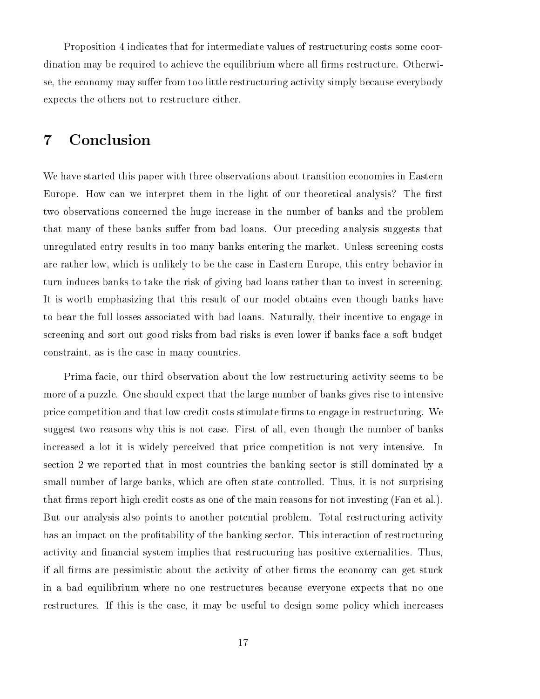Proposition 4 indicates that for intermediate values of restructuring costs some coordination may be required to achieve the equilibrium where all firms restructure. Otherwise, the economy may suffer from too little restructuring activity simply because everybody expects the others not to restructure either 

# Conclusion

We have started this paper with three observations about transition economies in Eastern Europe. How can we interpret them in the light of our theoretical analysis? The first two observations concerned the huge increase in the number of banks and the problem that many of these banks suffer from bad loans. Our preceding analysis suggests that unregulated entry results in too many banks entering the market. Unless screening costs are rather low, which is unlikely to be the case in Eastern Europe, this entry behavior in turn induces banks to take the risk of giving bad loans rather than to invest in screening It is worth emphasizing that this result of our model obtains even though banks have to bear the full losses associated with bad loans. Naturally, their incentive to engage in screening and sort out good risks from bad risks is even lower if banks face a soft budget constraint, as is the case in many countries.

Prima facie, our third observation about the low restructuring activity seems to be more of a puzzle. One should expect that the large number of banks gives rise to intensive price competition and that low credit costs stimulate firms to engage in restructuring. We suggest two reasons why this is not case. First of all, even though the number of banks increased a lot it is widely perceived that price competition is not very intensive. In section 2 we reported that in most countries the banking sector is still dominated by a small number of large banks which are often state controlled Thus it is not surprising that firms report high credit costs as one of the main reasons for not investing (Fan et al.). But our analysis also points to another potential problem. Total restructuring activity has an impact on the profitability of the banking sector. This interaction of restructuring activity and financial system implies that restructuring has positive externalities. Thus, if all firms are pessimistic about the activity of other firms the economy can get stuck in a bad equilibrium where no one restructures because everyone expects that no one restructures. If this is the case, it may be useful to design some policy which increases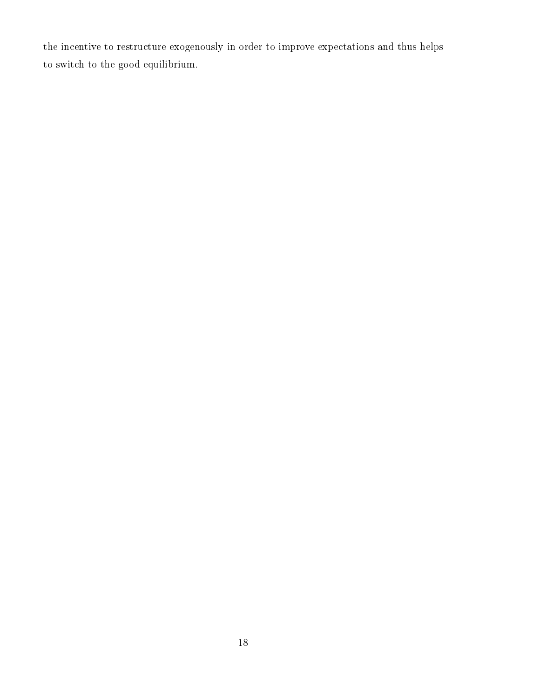the incentive to restructure exogenously in order to improve expectations and thus helps to switch to the good equilibrium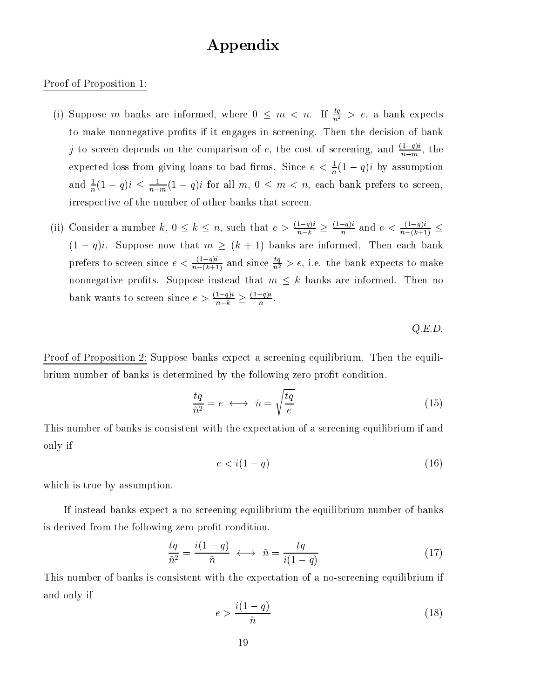# Appendix

## Proof of Proposition -

- (1) suppose m banks are informed, where  $0 \leq m < n$ . If  $\frac{4}{n^2} > e$ , a bank expects to make nonnegative profits if it engages in screening. Then the decision of bank to screen depends on the comparison of e, the cost of screening, and  $\frac{1}{2}$ , the  $n-m$ ,  $\cdots$ expected loss from giving loans to bad firms. Since  $e < \frac{1}{n}(1-q)i$  by assumption and  $\frac{1}{n}(1-q)^i \leq \frac{1}{n-m}(1-q)^i$  for all  $m, 0 \leq m < n$ , each bank prefers to screen, irrespective of the number of other banks that screen
- (ii) Consider a number k,  $0 \leq k \leq n$ , such that  $e > \frac{n}{k}$   $> \frac{n}{k}$  $\frac{1}{n-k} \geq \frac{(-1)^k}{n}$  and  $e < \frac{(-1)^k}{n-(k+1)} \leq$  $n - (k + 1)$  - $\mathbf{y} = \mathbf{y} + \mathbf{y}$  , which has not the informed that  $\mathbf{y} = \mathbf{y}$  is the contracted for the contracted banks of  $\mathbf{y}$ prefers to screen since  $e < \frac{1}{\sqrt{2}}$  and  $\frac{1}{n-(k+1)}$  and since  $\frac{4}{n^2} > e$ , i.e. the bank expects to make nonnegative profits. Suppose instead that  $m \leq k$  banks are informed. Then no bank wants to screen since  $e > \frac{\sqrt{1-\frac{1}{n}}}{n} > \frac{\sqrt{1-\frac{1}{n}}}{n}$  $\frac{n-k}{n-k} \geq \frac{n-k}{n}.$

Q-E-D-

Proof of Proposition 2: Suppose banks expect a screening equilibrium. Then the equilibrium number of banks is determined by the following zero profit condition.

$$
\frac{tq}{\hat{n}^2} = e \iff \hat{n} = \sqrt{\frac{tq}{e}}\tag{15}
$$

This number of banks is consistent with the expectation of a screening equilibrium if and only if

$$
e < i(1 - q) \tag{16}
$$

which is true by assumption.

If instead banks expect a no screening equilibrium the equilibrium number of banks is derived from the following zero profit condition.

$$
\frac{tq}{\tilde{n}^2} = \frac{i(1-q)}{\tilde{n}} \iff \tilde{n} = \frac{tq}{i(1-q)}\tag{17}
$$

This number of banks is consistent with the expectation of a no screening equilibrium if and only if

$$
e > \frac{i(1-q)}{\tilde{n}}\tag{18}
$$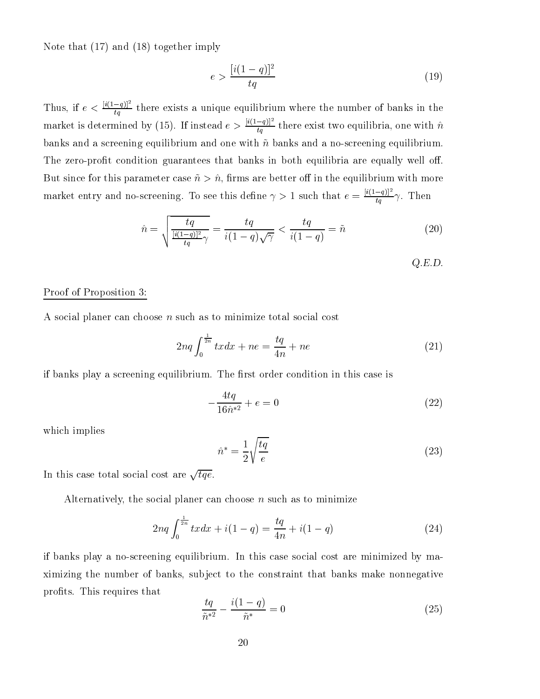Note that - and - together imply

$$
e > \frac{[i(1-q)]^2}{tq} \tag{19}
$$

Thus, if  $e < \frac{[i(1-q)]^2}{\epsilon}$  there there exists a unique exists a unique equilibrium where the number of banks in the number of banks in the number of banks in the number of banks in the number of banks in the number of banks in the number of banks in the market is determined by (15). If instead  $e > \frac{|i(1-q)|}{\epsilon}$  there there exist two equilibria one with non-terms of  $\mathbf{t}$ banks and a screening equilibrium and one with n banks and a no screening equilibrium The zero prot condition guarantees that banks in both equilibria are equally well o  $B$ ut since for this parameter case  $n \times n$ , minim are setter on in the equilibrium with more market entry and no-screening. To see this define  $\gamma > 1$  such that  $e = \frac{|\ell(1-q)|}{\gamma} \gamma$ . The  $ta$   $T = T$ 

$$
\hat{n} = \sqrt{\frac{tq}{\frac{[i(1-q)]^2}{tq}\gamma}} = \frac{tq}{i(1-q)\sqrt{\gamma}} < \frac{tq}{i(1-q)} = \tilde{n} \tag{20}
$$

$$
Q.E.D.
$$

## Proof of Proposition 3:

A social planer can choose <sup>n</sup> such as to minimize total social cost

$$
2nq \int_0^{\frac{1}{2n}} t x dx + ne = \frac{tq}{4n} + ne \tag{21}
$$

if banks play a screening equilibrium. The first order condition in this case is

$$
-\frac{4tq}{16\hat{n}^{*2}} + e = 0\tag{22}
$$

which implies

$$
\hat{n}^* = \frac{1}{2} \sqrt{\frac{tq}{e}} \tag{23}
$$

In this case total social cost are  $\sqrt{tqe}$ .

Alternatively, the social planer can choose  $n$  such as to minimize

$$
2nq \int_0^{\frac{1}{2n}} t x dx + i(1-q) = \frac{tq}{4n} + i(1-q)
$$
 (24)

if a notice play a notation in this case of products are minimized by many social costs are minimized by many ximizing the number of banks sub ject to the constraint that banks make nonnegative profits. This requires that

$$
\frac{tq}{\tilde{n}^{*2}} - \frac{i(1-q)}{\tilde{n}^{*}} = 0
$$
\n(25)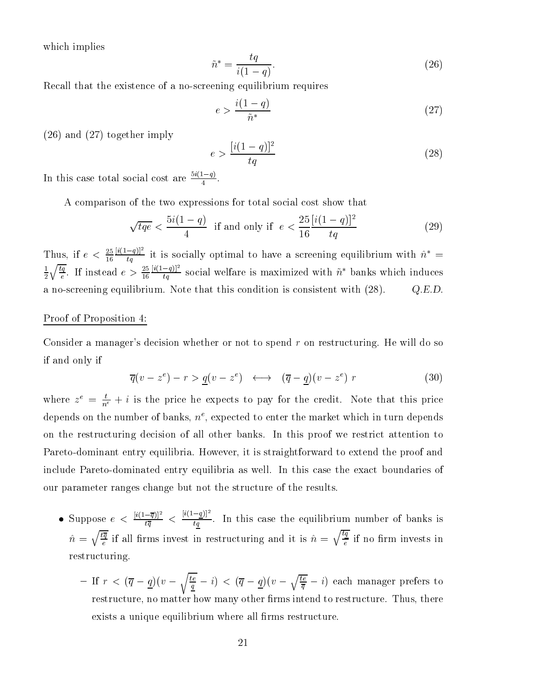which implies

$$
\tilde{n}^* = \frac{tq}{i(1-q)}.\tag{26}
$$

recent that the existence of a non-terminal equipment of question

$$
e > \frac{i(1-q)}{\tilde{n}^*} \tag{27}
$$

 $(26)$  and  $(27)$  together imply

$$
e > \frac{[i(1-q)]^2}{tq} \tag{28}
$$

In this case total social cost are  $\frac{1}{\sqrt{2}}$ . the company of the company of the company of the company of the company of the company of the company of the company

A comparison of the two expressions for total social cost show that

$$
\sqrt{tqe} < \frac{5i(1-q)}{4} \quad \text{if and only if} \quad e < \frac{25}{16} \frac{[i(1-q)]^2}{tq} \tag{29}
$$

Thus if <sup>e</sup> -  $|i(1-q)|^2$  :  $\pm$  :  $\pm$  $\frac{t}{ta}$  it is socially optimal to have a screening equilibrium with  $n =$  - $\sqrt{\frac{tq}{e}}$ . If instead  $e > \frac{25}{16} \frac{[i(1-q)]^2}{ta}$  soo  $\frac{[i(1-q)]^2}{tq}$  social welfare is maximized with  $\tilde{n}^*$  banks which induces and it is consistently equilibrium of the this condition is consistent with  $\alpha$  and  $\alpha$  ,  $\alpha$  and  $\alpha$  $-$ 

## Proof of Proposition 4:

Consider a manager's decision whether or not to spend r on restructuring. He will do so if and only if

$$
\overline{q}(v - z^e) - r > \underline{q}(v - z^e) \quad \longleftrightarrow \quad (\overline{q} - \underline{q})(v - z^e) \, r \tag{30}
$$

where  $z^* = \frac{e}{n^e} + i$  is the price he expects to pay for the credit. Note that this price depends on the number of banks,  $n$  , expected to enter the market which in turn depends on the restructuring decision of all other banks. In this proof we restrict attention to Pareto dominant entry equilibria However it is straightforward to extend the proof and include Paretto dominated entry equilibria as well as well bound as well to assume the exact boundaries of our parameter ranges change but not the structure of the results 

- Suppose  $e < \frac{v(1-q)}{q} < \frac{v}{q}$  $\frac{(-\overline{q})|^2}{t\overline{q}} \leq \frac{[i(1-\underline{q})]^2}{tq}.$  In  $ta$   $\cdots$  for the extra time of  $\mathbf{q}$  and banks is bank is banking in  $\hat{n} = \sqrt{\frac{t\overline{q}}{e}}$  if all firms invest in restructuring and it is  $\hat{n} = \sqrt{\frac{t\overline{q}}{e}}$  if no firm invests in restructuring
	- If  $r < (\overline{q} \underline{q})(v \sqrt{\frac{te}{q}} i) < (\overline{q} \underline{q})(v \sqrt{\frac{te}{\overline{q}}} i)$  each manager prefers to restructure, no matter how many other firms intend to restructure. Thus, there exists a unique equilibrium where all firms restructure.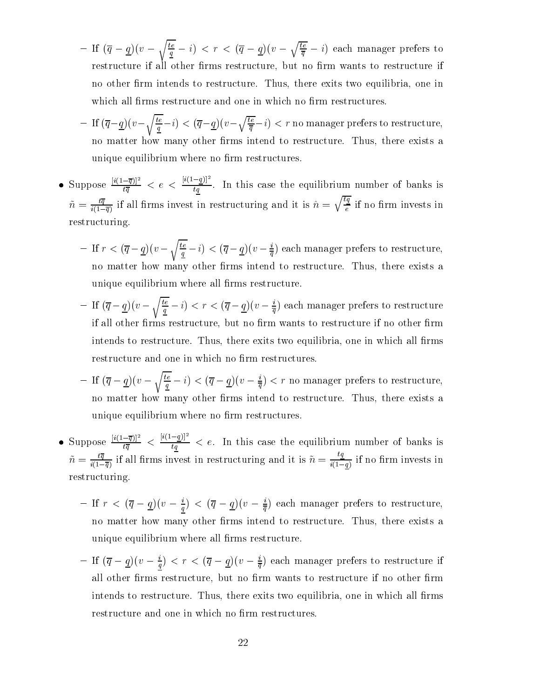- If  $(\overline{q}-\underline{q})(v-\sqrt{\frac{te}{q}}-i) < r < (\overline{q}-\underline{q})(v-\sqrt{\frac{te}{\overline{q}}}-i)$  each manager prefers to restructure if all other firms restructure, but no firm wants to restructure if no other firm intends to restructure. Thus, there exits two equilibria, one in which all firms restructure and one in which no firm restructures.
- $\sim$   $\sim$   $\sim$   $\sim$ <u>ransmission in the set of the set of the set of the set of the set of the set of the set of the set of the set of the set of the set of the set of the set of the set of the set of the set of the set of the set of the set </u>  $\frac{d}{a}-i$   $\leq$   $\frac{(q-q)(v-\sqrt{t}}{a})$  $\sqrt{\frac{te}{\overline{g}}}-i$   $<$   $r$  no manager prefers to restructure, no matter how many other firms intend to restructure. Thus, there exists a unique equilibrium where no firm restructures.
- Suppose  $\frac{[i(1-q)]^2}{q} < e$  $\frac{(-q)|^2}{t\overline{q}} \, <\, e \, <\, \frac{[i(1-q)]^2}{tq} \, . \, \, \ln \, .$ the equilibrium number of  $\mathbf{I}$  $\tilde{n} = \frac{t\overline{q}}{i(1-\overline{q})}$  if all firms invest in restructuring and it is  $\hat{n} = \sqrt{\frac{t\overline{q}}{e}}$  if no firm invests in restructuring
	- $\mathbf{r}$  is the set of  $\mathbf{r}$  is the set of  $\mathbf{r}$ records and the contract of the contract of the contract of the contract of the contract of the contract of the contract of the contract of the contract of the contract of the contract of the contract of the contract of th  $\frac{1}{a} - i \leq (q - \underline{q})(v - \frac{1}{a})$  each manager prefers to restructure, no matter how many other firms intend to restructure. Thus, there exists a unique equilibrium where all firms restructure.
	- $-$  If  $(\overline{q}-\underline{q})(v-\sqrt{\frac{te}{q}}-i) < r < (\overline{q}-\underline{q})(v-\frac{i}{\overline{q}})$  each manager prefers to restructure if all other firms restructure, but no firm wants to restructure if no other firm intends to restructure. Thus, there exits two equilibria, one in which all firms restructure and one in which no firm restructures.
	- $-$  If  $(\overline{q}-\underline{q})(v-\sqrt{\frac{te}{q}}-i) < (\overline{q}-\underline{q})(v-\frac{i}{\overline{q}}) < r$  no manager prefers to restructure, no matter how many other firms intend to restructure. Thus, there exists a unique equilibrium where no firm restructures.
- Suppose  $\frac{[i(1-q)]^2}{q} < 1$  $\frac{(-q)|^2}{t\overline{q}} \ < \ \frac{[i(1-q)]^-}{tq} \ < \ e.$  $tq$  , we are the equilibrium of  $\frac{1}{2}$  discussed banks is the banks is  $\frac{1}{2}$  $\tilde{n} = \frac{dq}{i(1-q)}$  if all firms invest in restructuring and it is  $\tilde{n} = \frac{1}{i(1-q)}$  if no fi  $i(1-q)$ restructuring
	- $I = \text{if } r < (q \underline{q})(v \frac{1}{q}) < (q \underline{q})(v \frac{1}{q})$  each manager prefers to restructure, no matter how many other firms intend to restructure. Thus, there exists a unique equilibrium where all firms restructure.
	- $I = \text{If } (q \underline{q})(v \frac{1}{q}) \leq r \leq (q \underline{q})(v \frac{1}{q})$  each manager prefers to restructure if all other firms restructure, but no firm wants to restructure if no other firm intends to restructure. Thus, there exits two equilibria, one in which all firms restructure and one in which no firm restructures.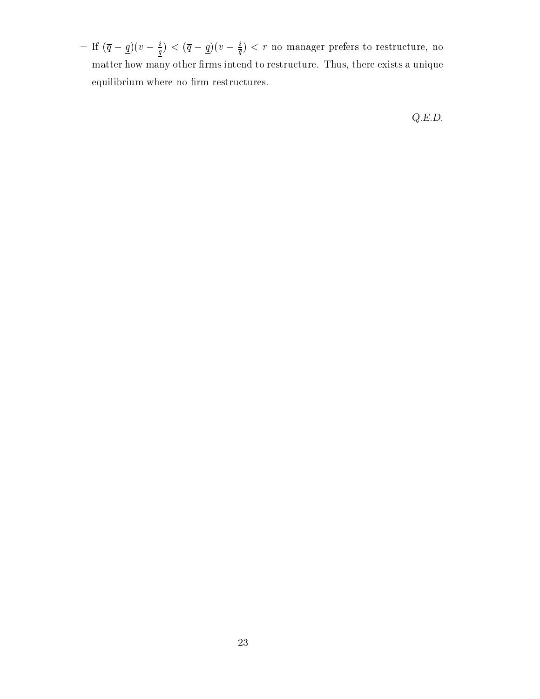$I = \text{If } (q - \underline{q})(v - \frac{1}{q}) < (q - \underline{q})(v - \frac{1}{q}) < r$  no manager prefers to restructure, no matter how many other firms intend to restructure. Thus, there exists a unique equilibrium where no firm restructures.

Q-E-D-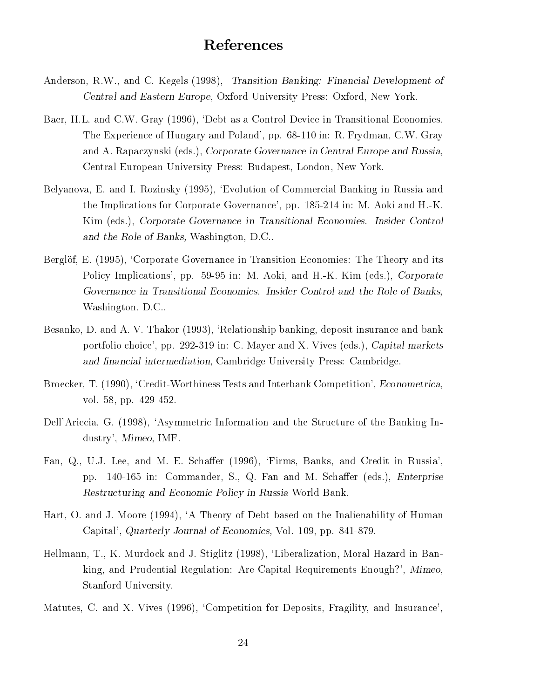## References

- Anderson Rowsells Transition  $\alpha$  and  $\alpha$  and  $\alpha$  and  $\alpha$  and  $\alpha$  and  $\alpha$  and  $\alpha$  and  $\alpha$  and  $\alpha$  and  $\alpha$  and  $\alpha$  and  $\alpha$  and  $\alpha$  and  $\alpha$  and  $\alpha$  and  $\alpha$  and  $\alpha$  and  $\alpha$  and  $\alpha$  and  $\alpha$  and  $\alpha$  and Central and Eastern Europe, Oxford University Press. Oxford, New York.
- Barry March 2002, Control Device, Indianal Economics, Control Device in Transitional Economics, Co The Experimental contract of Hungary and Poland in Robert Contract of Hungary and Poland in Robert Contract of Hungary and Poland in Robert Contract of Hungary and Poland in Robert Contract of Hungary and Poland in Robert and A. Rapaczynski (eds.), *Corporate Governance in Central Europe and Russia*, Central European University Press: Budapest, London, New York.
- Belyanova Evolution of Russia and International Banking in Russia and Alberta and Theory of Commercial Banking the Implications for Corporate Governance and Holly Corporate Governance and Holly Corporate Governance and Holly Corporate Governance and Holly Corporate Governance and Holly Corporate Governance and Holly Corporate Gover Kim eds Corporate Governance in Transitional Economies- Insider Control and the Role of Banks, Washington, D.O.,
- Berglof E Corporate Governance in Transition Economies The Theory and its Policy Implications pp in M Aoki and H K Kim eds Corporate Government in Transitional Economics-Control and the Control and the Role of Banks and the Role of Banks and Washington, D.C..
- Besanko D and A V Thakor Relationship banking deposit insurance and bank portfolio choice, pp. 292-919 in. C. Mayer and A. Vives (eds.), Capital markets and imancial intermediation, Cambridge University Press. Cambridge.
- Broecker To (Broeck) Credit Competition Competition and International Competition (Broecker Marchiese) volume that the contract of the contract of the contract of the contract of the contract of the contract of the contract of the contract of the contract of the contract of the contract of the contract of the contract of th
- $\blacksquare$  . And the Structure information and the Structure of the Banking Information  $\blacksquare$  . The Structure of the Banking Information and the Structure of the Banking Information of the Banking Information of the Banking dustry', Mimeo, IMF.
- Fact, While it was defined and Monthly (Arrival) accessive and Credit in Russian in Russian and Credit in Russian pp in Commander Sources and Mr. All and Montgomery Scheman is and Montgomery in the second process of the second  $R$  restructuring and Economic Policy in Russia World Bank.
- hart O' and J' Moore International and Debt based on the Indian Indian Indian Indian Indian Indian Indian In  $\cup$ apital,  $\cup$ uarterly Journal of Economics, Vol. 109, pp. 041-019.
- Hellmann T K Murdock and J Stiglitz Liberalization Moral Hazard in Ban king, and Prudential Regulation: Are Capital Requirements Enough?', Mimeo, Stanford University
- Matutes C and X Vives Competition for Deposits Fragility and Insurance